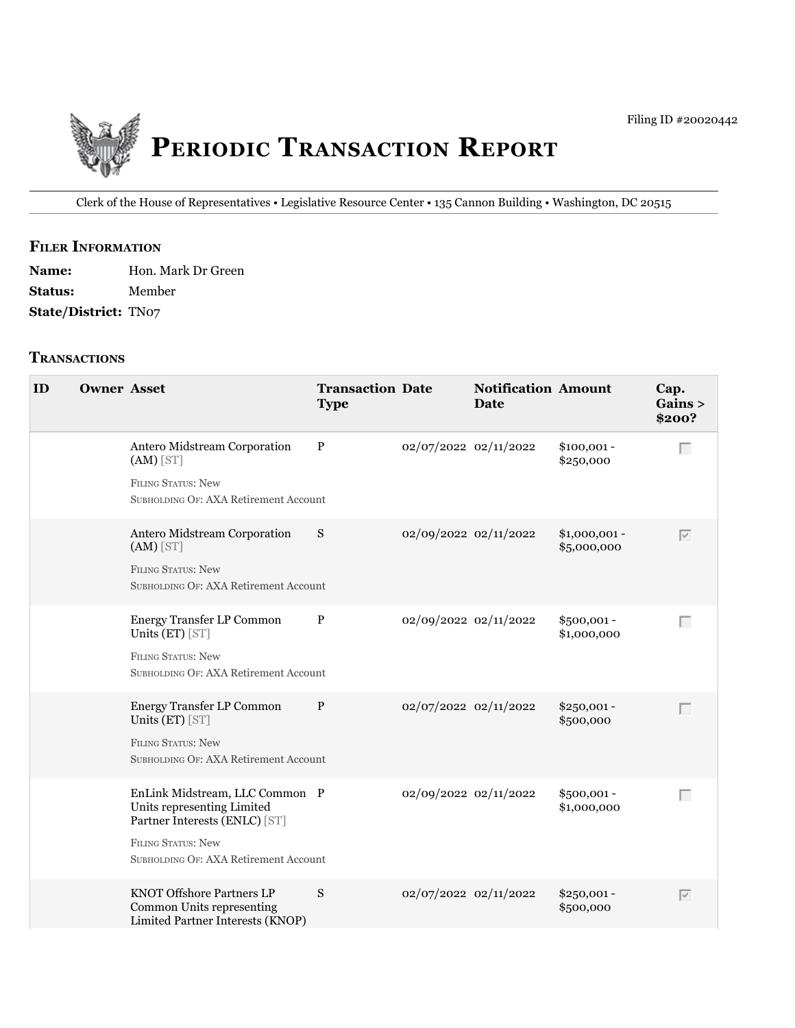

Clerk of the House of Representatives • legislative Resource Center • 135 Cannon building • Washington, DC 20515

# **fIler INfOrmATION**

| <b>Name:</b>                | Hon. Mark Dr Green |
|-----------------------------|--------------------|
| <b>Status:</b>              | Member             |
| <b>State/District: TN07</b> |                    |

#### **TrANSACTIONS**

| ID | <b>Owner Asset</b> |                                                                                                                                                                     | <b>Transaction Date</b><br><b>Type</b> |                       | <b>Notification Amount</b><br><b>Date</b> |                               | Cap.<br>Gains ><br>\$200? |
|----|--------------------|---------------------------------------------------------------------------------------------------------------------------------------------------------------------|----------------------------------------|-----------------------|-------------------------------------------|-------------------------------|---------------------------|
|    |                    | Antero Midstream Corporation<br>$(AM)$ [ST]<br><b>FILING STATUS: New</b><br>SUBHOLDING OF: AXA Retirement Account                                                   | $\mathbf{P}$                           | 02/07/2022 02/11/2022 |                                           | $$100,001 -$<br>\$250,000     | Г                         |
|    |                    | Antero Midstream Corporation<br>$(AM)$ [ST]<br><b>FILING STATUS: New</b><br>SUBHOLDING OF: AXA Retirement Account                                                   | S                                      | 02/09/2022 02/11/2022 |                                           | $$1,000,001 -$<br>\$5,000,000 | $\overline{\vee}$         |
|    |                    | <b>Energy Transfer LP Common</b><br>Units (ET) [ST]<br><b>FILING STATUS: New</b><br>SUBHOLDING OF: AXA Retirement Account                                           | $\, {\bf P}$                           | 02/09/2022 02/11/2022 |                                           | \$500,001 -<br>\$1,000,000    | $\Box$                    |
|    |                    | Energy Transfer LP Common<br>Units (ET) [ST]<br><b>FILING STATUS: New</b><br>SUBHOLDING OF: AXA Retirement Account                                                  | $\mathbf{P}$                           | 02/07/2022 02/11/2022 |                                           | $$250,001 -$<br>\$500,000     |                           |
|    |                    | EnLink Midstream, LLC Common P<br>Units representing Limited<br>Partner Interests (ENLC) [ST]<br><b>FILING STATUS: New</b><br>SUBHOLDING OF: AXA Retirement Account |                                        | 02/09/2022 02/11/2022 |                                           | $$500,001 -$<br>\$1,000,000   | $\Box$                    |
|    |                    | KNOT Offshore Partners LP<br>Common Units representing<br>Limited Partner Interests (KNOP)                                                                          | ${\bf S}$                              | 02/07/2022 02/11/2022 |                                           | $$250,001 -$<br>\$500,000     | $\overline{\vee}$         |